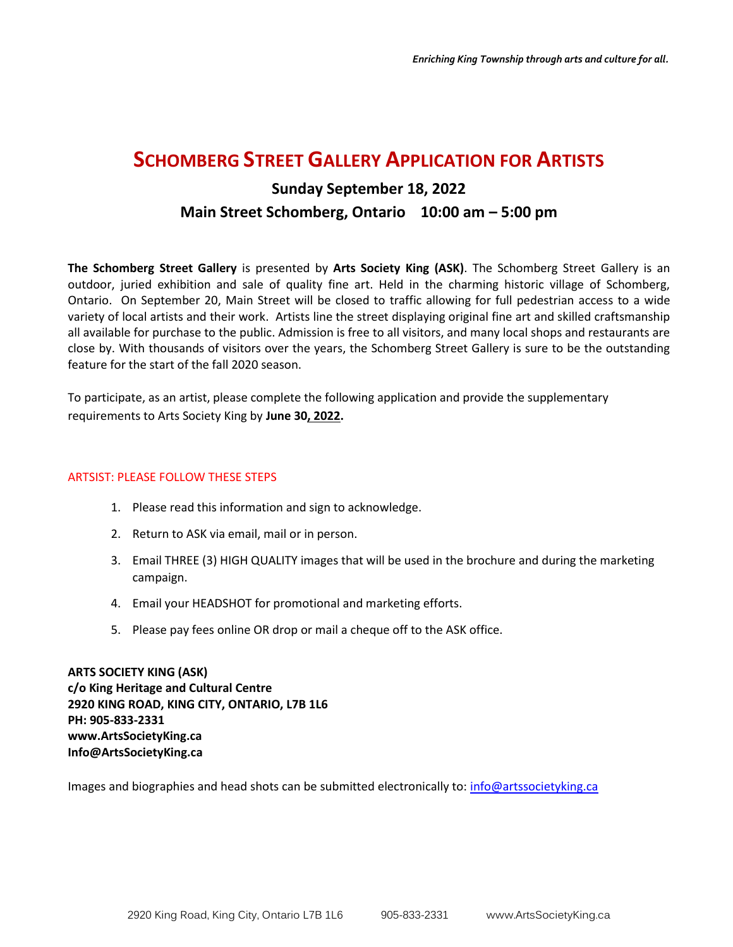## **SCHOMBERG STREET GALLERY APPLICATION FOR ARTISTS**

# **Sunday September 18, 2022 Main Street Schomberg, Ontario 10:00 am – 5:00 pm**

**The Schomberg Street Gallery** is presented by **Arts Society King (ASK)**. The Schomberg Street Gallery is an outdoor, juried exhibition and sale of quality fine art. Held in the charming historic village of Schomberg, Ontario. On September 20, Main Street will be closed to traffic allowing for full pedestrian access to a wide variety of local artists and their work. Artists line the street displaying original fine art and skilled craftsmanship all available for purchase to the public. Admission is free to all visitors, and many local shops and restaurants are close by. With thousands of visitors over the years, the Schomberg Street Gallery is sure to be the outstanding feature for the start of the fall 2020 season.

To participate, as an artist, please complete the following application and provide the supplementary requirements to Arts Society King by **June 30, 2022.**

#### ARTSIST: PLEASE FOLLOW THESE STEPS

- 1. Please read this information and sign to acknowledge.
- 2. Return to ASK via email, mail or in person.
- 3. Email THREE (3) HIGH QUALITY images that will be used in the brochure and during the marketing campaign.
- 4. Email your HEADSHOT for promotional and marketing efforts.
- 5. Please pay fees online OR drop or mail a cheque off to the ASK office.

**ARTS SOCIETY KING (ASK) c/o King Heritage and Cultural Centre 2920 KING ROAD, KING CITY, ONTARIO, L7B 1L6 PH: 905-833-2331 www.ArtsSocietyKing.ca Info@ArtsSocietyKing.ca**

Images and biographies and head shots can be submitted electronically to: [info@artssocietyking.ca](mailto:info@artssocietyking.ca)